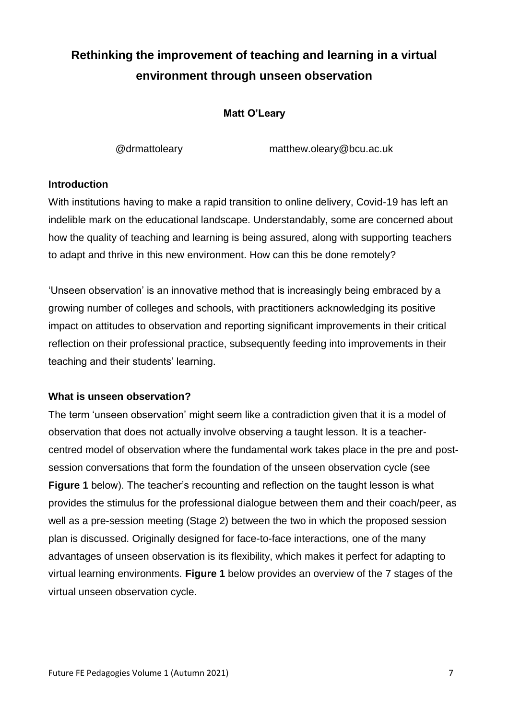# **Rethinking the improvement of teaching and learning in a virtual environment through unseen observation**

## **Matt O'Leary**

@drmattoleary matthew.oleary@bcu.ac.uk

### **Introduction**

With institutions having to make a rapid transition to online delivery, Covid-19 has left an indelible mark on the educational landscape. Understandably, some are concerned about how the quality of teaching and learning is being assured, along with supporting teachers to adapt and thrive in this new environment. How can this be done remotely?

'Unseen observation' is an innovative method that is increasingly being embraced by a growing number of colleges and schools, with practitioners acknowledging its positive impact on attitudes to observation and reporting significant improvements in their critical reflection on their professional practice, subsequently feeding into improvements in their teaching and their students' learning.

#### **What is unseen observation?**

The term 'unseen observation' might seem like a contradiction given that it is a model of observation that does not actually involve observing a taught lesson. It is a teachercentred model of observation where the fundamental work takes place in the pre and postsession conversations that form the foundation of the unseen observation cycle (see **Figure 1** below). The teacher's recounting and reflection on the taught lesson is what provides the stimulus for the professional dialogue between them and their coach/peer, as well as a pre-session meeting (Stage 2) between the two in which the proposed session plan is discussed. Originally designed for face-to-face interactions, one of the many advantages of unseen observation is its flexibility, which makes it perfect for adapting to virtual learning environments. **Figure 1** below provides an overview of the 7 stages of the virtual unseen observation cycle.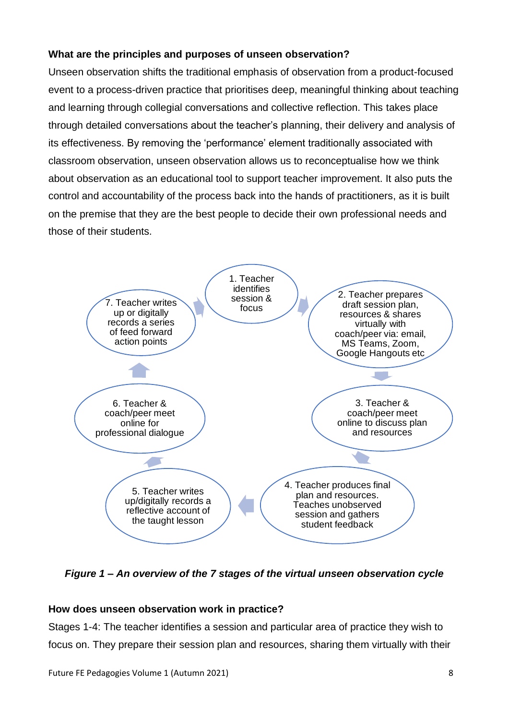# **What are the principles and purposes of unseen observation?**

Unseen observation shifts the traditional emphasis of observation from a product-focused event to a process-driven practice that prioritises deep, meaningful thinking about teaching and learning through collegial conversations and collective reflection. This takes place through detailed conversations about the teacher's planning, their delivery and analysis of its effectiveness. By removing the 'performance' element traditionally associated with classroom observation, unseen observation allows us to reconceptualise how we think about observation as an educational tool to support teacher improvement. It also puts the control and accountability of the process back into the hands of practitioners, as it is built on the premise that they are the best people to decide their own professional needs and those of their students.



*Figure 1 – An overview of the 7 stages of the virtual unseen observation cycle*

# **How does unseen observation work in practice?**

Stages 1-4: The teacher identifies a session and particular area of practice they wish to focus on. They prepare their session plan and resources, sharing them virtually with their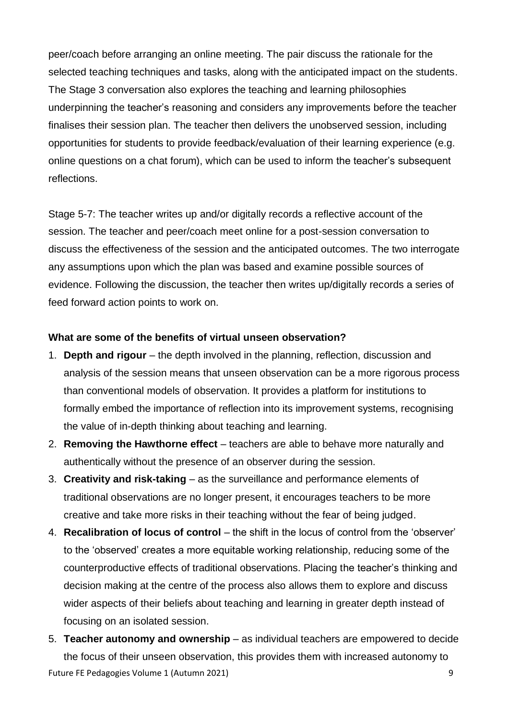peer/coach before arranging an online meeting. The pair discuss the rationale for the selected teaching techniques and tasks, along with the anticipated impact on the students. The Stage 3 conversation also explores the teaching and learning philosophies underpinning the teacher's reasoning and considers any improvements before the teacher finalises their session plan. The teacher then delivers the unobserved session, including opportunities for students to provide feedback/evaluation of their learning experience (e.g. online questions on a chat forum), which can be used to inform the teacher's subsequent reflections.

Stage 5-7: The teacher writes up and/or digitally records a reflective account of the session. The teacher and peer/coach meet online for a post-session conversation to discuss the effectiveness of the session and the anticipated outcomes. The two interrogate any assumptions upon which the plan was based and examine possible sources of evidence. Following the discussion, the teacher then writes up/digitally records a series of feed forward action points to work on.

#### **What are some of the benefits of virtual unseen observation?**

- 1. **Depth and rigour** the depth involved in the planning, reflection, discussion and analysis of the session means that unseen observation can be a more rigorous process than conventional models of observation. It provides a platform for institutions to formally embed the importance of reflection into its improvement systems, recognising the value of in-depth thinking about teaching and learning.
- 2. **Removing the Hawthorne effect**  teachers are able to behave more naturally and authentically without the presence of an observer during the session.
- 3. **Creativity and risk-taking** as the surveillance and performance elements of traditional observations are no longer present, it encourages teachers to be more creative and take more risks in their teaching without the fear of being judged.
- 4. **Recalibration of locus of control** the shift in the locus of control from the 'observer' to the 'observed' creates a more equitable working relationship, reducing some of the counterproductive effects of traditional observations. Placing the teacher's thinking and decision making at the centre of the process also allows them to explore and discuss wider aspects of their beliefs about teaching and learning in greater depth instead of focusing on an isolated session.
- Future FE Pedagogies Volume 1 (Autumn 2021) 9 5. **Teacher autonomy and ownership** – as individual teachers are empowered to decide the focus of their unseen observation, this provides them with increased autonomy to